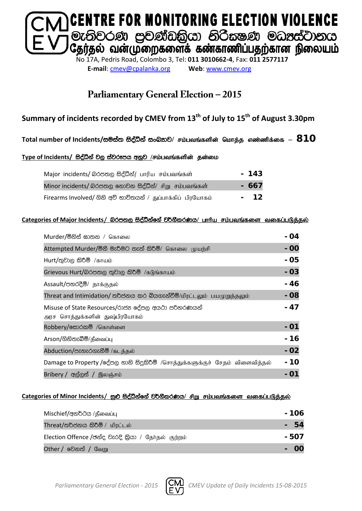

**E-mail**: [cmev@cpalanka.org](mailto:cmev@cpalanka.org) **Web**: [www.cmev.org](http://www.cmev.org/)

### **Parliamentary General Election – 2015**

### **Summary of incidents recorded by CMEV from 13th of July to 15th of August 3.30pm**

#### $\Gamma$ otal number of Incidents/සමස්ත සිද්ධීන් සංඛතාව/ சம்பவங்களின் மொத்த எண்ணிக்கை –  $\bf 810$

#### Type of Incidents/ සිද්ධීන් වල ස්වරූපය අනූව /சம்பவங்களின் தன்மை

| Major incidents/ லெக்ஸ்டு සිද්ධීන්/ பாரிய சம்பவங்கள்         | $-143$ |
|--------------------------------------------------------------|--------|
| Minor incidents/ බරපතල නොවන සිද්ධීන්/ சிறு சம்பவங்கள்        | - 667  |
| Firearms Involved/ ගිනි අව් භාවිතයන් / துப்பாக்கிப் பிரயோகம் | - 12   |

#### **Categories of Major Incidents/** nrm;, i so aëkaf. a j¾. SlrKh**/** ghhpa rk;gtq ;fis tifg ;gLj;jy ;

| Murder/මිනිස් ඝාතන / கொலை                                                            | - 04  |
|--------------------------------------------------------------------------------------|-------|
| Attempted Murder/මිනී මැරීමට තැත් කිරීම්/ கொலை முயற்சி                               | $-00$ |
| $Hurt /$ තුවාල කිරීම් /காயம்                                                         | - 05  |
| Grievous Hurt/බරපතල තුවාල කිරීම් /கடுங்காயம்                                         | $-03$ |
| Assault/පහරදීම්/ தாக்குதல்                                                           | - 46  |
| Threat and Intimidation/ තර්ජනය කර බියගැන්වීම්/மிரட்டலும் பயமுறுத்தலும்              | $-08$ |
| Misuse of State Resources/රාජන දේපල අයථා පරිතරණයන්<br>அரச சொத்துக்களின் துஷ்பிரயோகம் | - 47  |
| Robbery/க்கூ்க்கு /கொள்ளை                                                            | - 01  |
| Arson/ගිනිතැබීම්/தீவைப்பு                                                            | - 16  |
| Abduction/පැහැරගැනීම් /கடத்தல்                                                       | $-02$ |
| Damage to Property /දේපල හානි සිදුකිරීම් /சொத்துக்களுக்குச் சேதம் விளைவித்தல்        | - 10  |
| Bribery / අල්ලස් / இலஞ்சம்                                                           |       |

#### Categories of Minor Incidents/ සුළු සිද්ධීන්ගේ වර්ගීකරණය/ சிறு சம்பவங்களை வகைப்படுத்தல்

| Mischief/අනර්ථය /தீவைப்பு                           | - 106 |
|-----------------------------------------------------|-------|
| Threat/තර්ජනය කිරීම් / மிரட்டல்                     | 54    |
| Election Offence /ඡන්ද වැරදි කියා / தேர்தல் குற்றம் | - 507 |
| <b>Other / වෙ</b> නත් / வேறு                        |       |

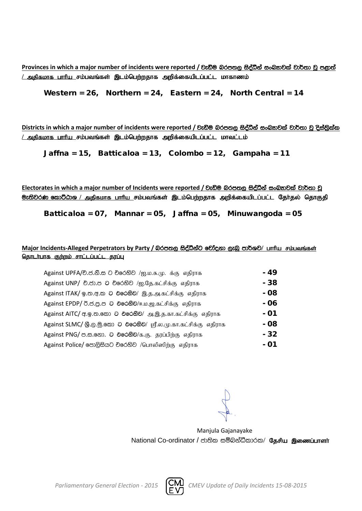**Provinces** in which a major number of incidents were reported / වැඩිම බරපතල සිද්ධීන් සංඛතාවක් වාර්තා වූ පළාත් <u>/ அதிகமாக பாரிய சம்பவங்கள் இடம்பெற்றதாக அறிக்கையிடப்பட்ட மாகாணம்</u>

Western = 26, Northern = 24, Eastern = 24, North Central = 14

**Districts** in which a major number of incidents were reported / වැඩිම බරපතල සිද්ධීන් සංඛතාවක් වාර්තා වූ දිස්තිුක්ක <u>/ அதிகமாக பாரிய சம்பவங்கள் இடம்பெற்றதாக அறிக்கையிடப்பட்ட மாவட்டம்</u>

Jaffna = 15, Batticaloa = 13, Colombo = 12, Gampaha = 11

Electorates in which a major number of Incidents were reported / වැඩිම බරපතල සිද්ධීන් සංඛතාවක් වාර්තා වූ <mark>ூ: ல</mark>ிவ் கூறிமை / அதிகமாக பாரிய சம்பவங்கள் இடம்பெற்றதாக அறிக்கையிடப்பட்ட தேர்தல் தொகுதி

Batticaloa = 07, Mannar = 05, Jaffna = 05, Minuwangoda = 05

#### Major Incidents-Alleged Perpetrators by Party / බරපතල සිද්ධීන්ට චෝදනා ලැබූ පාර්ශව/ பாரிய சம்பவங்கள் <u>தொடர்பாக குற்றம் சாட்டப்பட்ட தரப்பு</u>

| Against UPFA/චි.ජ.නි.ස ට චිරෙහිව /ஐ.ம.சு.மு. க்கு எதிராக        | $-49$ |
|-----------------------------------------------------------------|-------|
| Against UNP/ චි.ජා.ප ට චිරෙහිව /ஐ.தே.கட்சிக்கு எதிராக           | - 38  |
| Against ITAK/ ஓ.ஐசு.ஐ O එරෙහිව/ இ.த.அ.கட்சிக்கு எதிராக          | - 08  |
| Against EPDP/ 0.8.8.8 ට එරෙහිව/ஈ.ம.ஜ.கட்சிக்கு எதிராக           | - 06  |
| Against AITC/ අ. இ. ஐ. இலை செல்லி அ. இ. த. கா. கட்சிக்கு எதிராக | - 01  |
| Against SLMC/ இ.ල.මු.කො ට එරෙහිව/ ஸ்ரீ.ல.மு.கா.கட்சிக்கு எதிராக | - 08  |
| Against PNG/ ඏ.ස.නො. ට එරෙහිව/க.கு. தரப்பிற்கு எதிராக           | - 32  |
| Against Police/ පොලිසියට චරෙහිව /பொலிஸிற்கு எதிராக              | - 01  |

Manjula Gajanayake National Co-ordinator / ජාතික සම්බන්ධීකාරක/ தேசிய இணைப்பாளர்

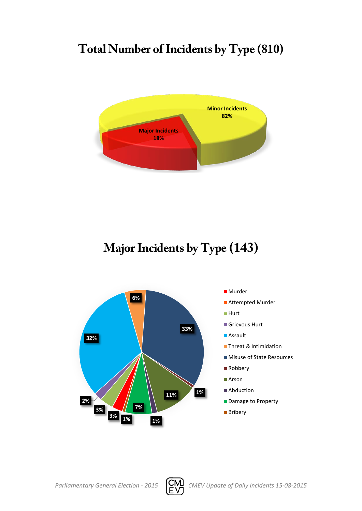# **Total Number of Incidents by Type (810)**



# **Major Incidents by Type (143)**